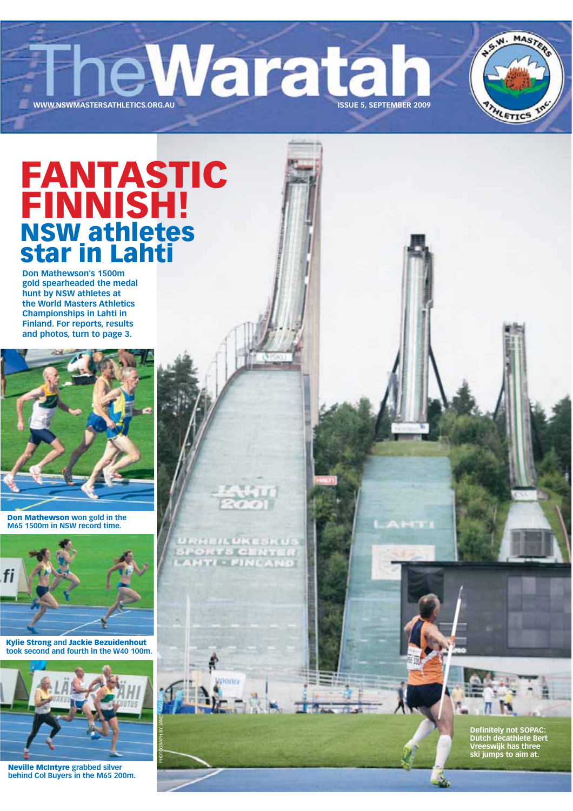eWaratar **ISSUE 5, SEPTEMBER 2009** 

**FANTASTIC<br>FINNISH!<br>NSW athletes<br>star in Lahti** 

WWW.NSWMASTERSATHLETICS.ORG.AU

**Don Mathewson's 1500m** gold spearheaded the medal hunt by NSW athletes at the World Masters Athletics **Championships in Lahti in Finland. For reports, results** and photos, turn to page 3.



Don Mathewson won gold in the M65 1500m in NSW record time.



**Kylie Strong and Jackie Bezuidenhout** took second and fourth in the W40 100m.

loning



**Neville McIntyre grabbed silver** behind Col Buyers in the M65 200m. Definitely not SOPAC:<br>Dutch decathlete Bert<br>Vreeswijk has three<br>ski jumps to aim at.

W. MASTER

HLETICS

**A.S.**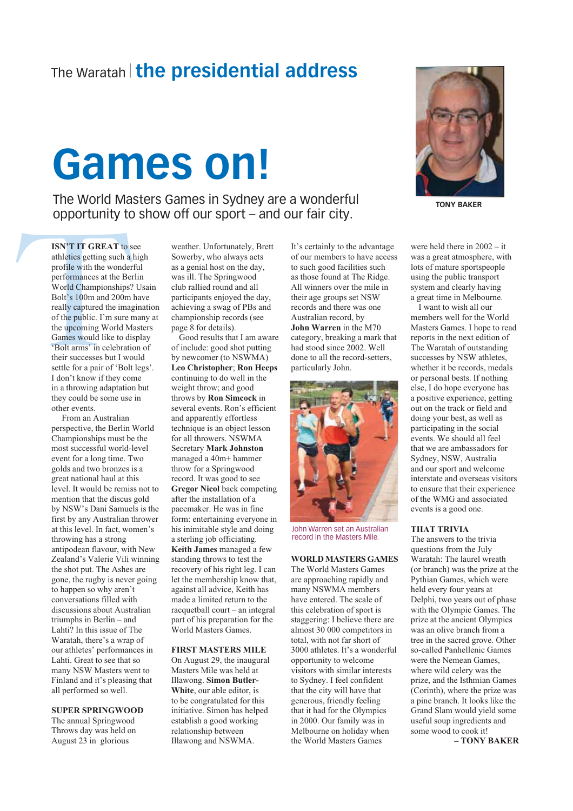## The Waratah | the presidential address

## **Games on!**

The World Masters Games in Sydney are a wonderful opportunity to show off our sport – and our fair city.

**ISN'T IT GREAT to see** athletics getting such a high profile with the wonderful performances at the Berlin World Championships? Usain Bolt's 100m and 200m have really captured the imagination of the public. I'm sure many at the upcoming World Masters Games would like to display 'Bolt arms' in celebration of their successes but I would settle for a pair of 'Bolt legs'. I don't know if they come in a throwing adaptation but they could be some use in other events.

From an Australian perspective, the Berlin World Championships must be the most successful world-level event for a long time. Two golds and two bronzes is a great national haul at this level. It would be remiss not to mention that the discus gold by NSW's Dani Samuels is the first by any Australian thrower at this level. In fact, women's throwing has a strong antipodean flavour, with New Zealand's Valerie Vili winning the shot put. The Ashes are gone, the rugby is never going to happen so why aren't conversations filled with discussions about Australian triumphs in Berlin  $-$  and Lahti? In this issue of The Waratah, there's a wrap of our athletes' performances in Lahti. Great to see that so many NSW Masters went to Finland and it's pleasing that all performed so well.

#### **SUPER SPRINGWOOD**

The annual Springwood Throws day was held on August 23 in glorious

weather. Unfortunately, Brett Sowerby, who always acts as a genial host on the day, was ill. The Springwood club rallied round and all participants enjoyed the day, achieving a swag of PBs and championship records (see page 8 for details).

Good results that I am aware of include: good shot putting by newcomer (to NSWMA) Leo Christopher: Ron Heeps continuing to do well in the weight throw; and good throws by Ron Simcock in several events. Ron's efficient and apparently effortless technique is an object lesson for all throwers. NSWMA **Secretary Mark Johnston** managed a 40m+ hammer throw for a Springwood record. It was good to see **Gregor Nicol back competing** after the installation of a pacemaker. He was in fine form: entertaining everyone in his inimitable style and doing a sterling job officiating. Keith James managed a few standing throws to test the recovery of his right leg. I can let the membership know that, against all advice. Keith has made a limited return to the racquetball court – an integral part of his preparation for the World Masters Games.

#### **FIRST MASTERS MILE**

On August 29, the inaugural Masters Mile was held at Illawong. Simon Butler-White, our able editor, is to be congratulated for this initiative. Simon has helped establish a good working relationship between Illawong and NSWMA.

It's certainly to the advantage of our members to have access to such good facilities such as those found at The Ridge. All winners over the mile in their age groups set NSW records and there was one Australian record by John Warren in the M70 category, breaking a mark that had stood since 2002. Well done to all the record-setters. particularly John.



John Warren set an Australian record in the Masters Mile.

#### **WORLD MASTERS GAMES**

The World Masters Games are approaching rapidly and many NSWMA members have entered. The scale of this celebration of sport is staggering: I believe there are almost 30 000 competitors in total, with not far short of 3000 athletes. It's a wonderful opportunity to welcome visitors with similar interests to Sydney. I feel confident that the city will have that generous, friendly feeling that it had for the Olympics in 2000. Our family was in Melbourne on holiday when the World Masters Games



**TONY BAKER** 

were held there in  $2002 - it$ was a great atmosphere, with lots of mature sportspeople using the public transport system and clearly having a great time in Melbourne.

I want to wish all our members well for the World Masters Games. I hope to read reports in the next edition of The Waratah of outstanding successes by NSW athletes. whether it be records, medals or personal bests. If nothing else, I do hope everyone has a positive experience, getting out on the track or field and doing your best, as well as participating in the social events. We should all feel that we are ambassadors for Sydney, NSW, Australia and our sport and welcome interstate and overseas visitors to ensure that their experience of the WMG and associated events is a good one.

#### **THAT TRIVIA**

The answers to the trivia questions from the July Waratah: The laurel wreath (or branch) was the prize at the Pythian Games, which were held every four years at Delphi, two years out of phase with the Olympic Games. The prize at the ancient Olympics was an olive branch from a tree in the sacred grove. Other so-called Panhellenic Games were the Nemean Games. where wild celery was the prize, and the Isthmian Games (Corinth), where the prize was a pine branch. It looks like the Grand Slam would yield some useful soup ingredients and some wood to cook it!

-TONY BAKER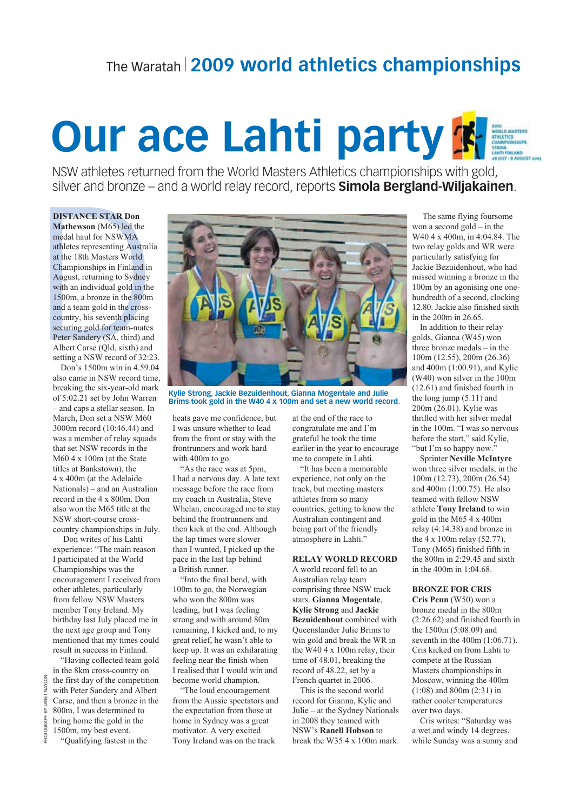## The Waratah 2009 world athletics championships

## **Our ace Lahti party K HID MASTERS**

NSW athletes returned from the World Masters Athletics championships with gold, silver and bronze – and a world relay record, reports **Simola Bergland-Wiljakainen**.

### **DISTANCE STAR Don**

Mathewson (M65) led the medal haul for NSWMA athletes representing Australia at the 18th Masters World Championships in Finland in August, returning to Sydney with an individual gold in the 1500m, a bronze in the 800m and a team gold in the crosscountry, his seventh placing securing gold for team-mates Peter Sandery (SA, third) and Albert Carse (Qld, sixth) and setting a NSW record of 32:23.

Don's 1500m win in 4.59.04 also came in NSW record time, breaking the six-year-old mark of 5:02.21 set by John Warren - and caps a stellar season. In March, Don set a NSW M60 3000m record (10:46.44) and was a member of relay squads that set NSW records in the M60 4 x 100m (at the State titles at Bankstown) the 4 x 400m (at the Adelaide Nationals) – and an Australian record in the 4 x 800m. Don also won the M65 title at the NSW short-course crosscountry championships in July.

Don writes of his Lahti experience: "The main reason I participated at the World Championships was the encouragement I received from other athletes, particularly from fellow NSW Masters member Tony Ireland. My birthday last July placed me in the next age group and Tony mentioned that my times could result in success in Finland.

"Having collected team gold in the 8km cross-country on the first day of the competition with Peter Sandery and Albert Carse, and then a bronze in the 800m, I was determined to bring home the gold in the 1500m, my best event.

**NAYLON** 

ANET

 $\mathbb{R}$ 

HOTOGRAPH

"Qualifying fastest in the



Kylie Strong, Jackie Bezuidenhout, Gianna Mogentale and Julie Brims took gold in the W40 4 x 100m and set a new world record.

heats gave me confidence, but I was unsure whether to lead from the front or stay with the frontrunners and work hard with 400m to go.

"As the race was at 5pm, I had a nervous day. A late text message before the race from my coach in Australia, Steve Whelan, encouraged me to stay behind the frontrunners and then kick at the end. Although the lap times were slower than I wanted, I picked up the pace in the last lap behind a British runner.

"Into the final bend, with 100m to go, the Norwegian who won the 800m was leading, but I was feeling strong and with around 80m remaining. I kicked and, to my great relief, he wasn't able to keep up. It was an exhilarating feeling near the finish when I realised that I would win and become world champion.

"The loud encouragement from the Aussie spectators and the expectation from those at home in Sydney was a great motivator. A very excited Tony Ireland was on the track

at the end of the race to congratulate me and I'm grateful he took the time earlier in the year to encourage me to compete in Lahti.

"It has been a memorable experience, not only on the track, but meeting masters athletes from so many countries, getting to know the Australian contingent and being part of the friendly atmosphere in Lahti."

#### **RELAY WORLD RECORD**

A world record fell to an Australian relay team comprising three NSW track stars. Gianna Mogentale. **Kylie Strong and Jackie Bezuidenhout** combined with Oueenslander Julie Brims to win gold and break the WR in the W40 4 x 100m relay, their time of 48.01, breaking the record of 48.22, set by a French quartet in 2006.

This is the second world record for Gianna, Kylie and Julie - at the Sydney Nationals in 2008 they teamed with NSW's Ranell Hobson to break the W35 4 x 100m mark.

The same flying foursome won a second  $gold - in the$ W40 4 x 400m, in 4:04.84. The two relay golds and WR were particularly satisfying for Jackie Bezuidenhout, who had missed winning a bronze in the 100m by an agonising one onehundredth of a second, clocking 12.80. Jackie also finished sixth in the  $200m$  in  $26.65$ .

In addition to their relay golds, Gianna (W45) won three bronze medals  $-$  in the  $100m(12.55), 200m(26.36)$ and 400m (1:00.91), and Kylie (W40) won silver in the 100m  $(12.61)$  and finished fourth in the long jump  $(5.11)$  and 200m (26.01). Kylie was thrilled with her silver medal in the 100m. "I was so nervous before the start," said Kylie, "but I'm so happy now."

**Sprinter Neville McIntyre** won three silver medals, in the  $100m(12.73), 200m(26.54)$ and 400m (1:00.75). He also teamed with fellow NSW athlete Tony Ireland to win gold in the M65  $4 \times 400$ m relay (4:14.38) and bronze in the 4 x 100m relay (52.77). Tony (M65) finished fifth in the 800m in 2:29.45 and sixth in the 400m in 1:04.68.

### **BRONZE FOR CRIS**

Cris Penn (W50) won a bronze medal in the 800m  $(2:26.62)$  and finished fourth in the 1500m (5:08.09) and seventh in the  $400m$   $(1:06.71)$ . Cris kicked on from Lahti to compete at the Russian Masters championships in Moscow, winning the 400m  $(1:08)$  and 800m $(2:31)$  in rather cooler temperatures over two days.

Cris writes: "Saturday was a wet and windy 14 degrees, while Sunday was a sunny and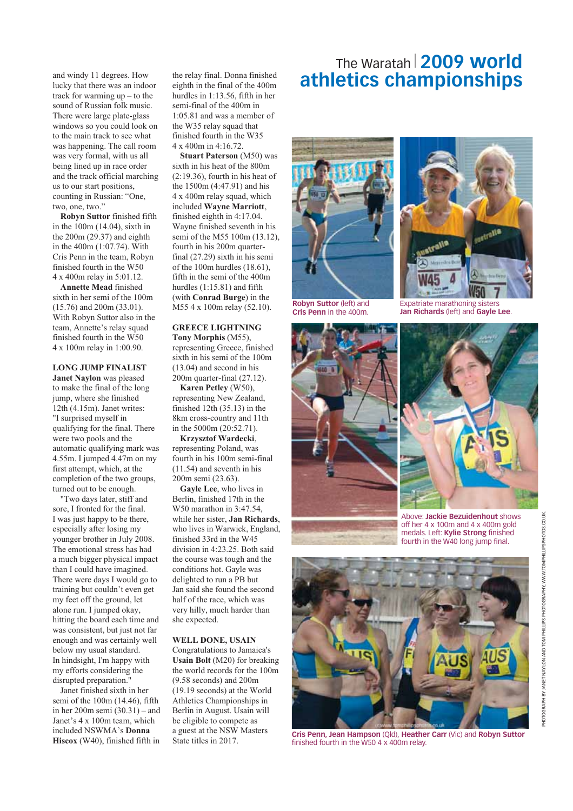and windy 11 degrees. How lucky that there was an indoor track for warming  $up - to$  the sound of Russian folk music. There were large plate-glass windows so you could look on to the main track to see what was happening. The call room was very formal, with us all being lined up in race order and the track official marching us to our start positions, counting in Russian: "One, two, one, two."

Robyn Suttor finished fifth in the  $100m$   $(14.04)$ , sixth in the  $200m(29.37)$  and eighth in the 400m (1:07.74). With Cris Penn in the team, Robyn finished fourth in the W50 4 x 400m relay in 5:01.12.

**Annette Mead finished** sixth in her semi of the 100m  $(15.76)$  and  $200$ m  $(33.01)$ . With Robyn Suttor also in the team. Annette's relay squad finished fourth in the W50 4 x 100m relay in 1:00.90.

#### **LONG JUMP FINALIST**

Janet Naylon was pleased to make the final of the long jump, where she finished 12th (4.15m). Janet writes: "I surprised myself in qualifying for the final. There were two pools and the automatic qualifying mark was 4.55m. I jumped 4.47m on my first attempt, which, at the completion of the two groups, turned out to be enough.

"Two days later, stiff and sore, I fronted for the final. I was just happy to be there, especially after losing my younger brother in July 2008. The emotional stress has had a much bigger physical impact than I could have imagined. There were days I would go to training but couldn't even get my feet off the ground, let alone run. I jumped okay, hitting the board each time and was consistent, but just not far enough and was certainly well below my usual standard. In hindsight, I'm happy with my efforts considering the disrupted preparation."

Janet finished sixth in her semi of the 100m (14.46), fifth in her 200m semi  $(30.31)$  – and Janet's 4 x 100m team, which included NSWMA's Donna Hiscox (W40), finished fifth in

the relay final. Donna finished eighth in the final of the 400m hurdles in 1:13.56. fifth in her semi-final of the 400m in 1:05.81 and was a member of the W35 relay squad that finished fourth in the W35 4 x 400m in 4:16.72.

**Stuart Paterson** (M50) was sixth in his heat of the 800m  $(2:19.36)$ , fourth in his heat of the 1500m (4:47.91) and his 4 x 400m relay squad, which included Wayne Marriott, finished eighth in 4:17.04. Wayne finished seventh in his semi of the M55 100m (13.12), fourth in his 200m quarterfinal (27.29) sixth in his semi of the 100m hurdles (18.61), fifth in the semi of the 400m hurdles  $(1:15.81)$  and fifth (with Conrad Burge) in the M55 4 x 100m relay (52.10).

### **GREECE LIGHTNING** Tony Morphis (M55).

representing Greece, finished sixth in his semi of the 100m  $(13.04)$  and second in his 200m quarter-final (27.12).

Karen Petley (W50), representing New Zealand, finished  $12th(35.13)$  in the 8km cross-country and 11th in the 5000m (20:52.71).

**Krzysztof Wardecki,** representing Poland, was fourth in his 100m semi-final  $(11.54)$  and seventh in his 200m semi (23.63).

Gayle Lee, who lives in Berlin, finished 17th in the W50 marathon in 3:47.54, while her sister, Jan Richards, who lives in Warwick, England, finished 33rd in the W45 division in 4:23.25. Both said the course was tough and the conditions hot. Gayle was delighted to run a PB but Jan said she found the second half of the race, which was very hilly, much harder than she expected.

#### **WELL DONE, USAIN**

Congratulations to Jamaica's **Usain Bolt** (M20) for breaking the world records for the 100m  $(9.58$  seconds) and  $200m$ (19.19 seconds) at the World Athletics Championships in Berlin in August. Usain will be eligible to compete as a guest at the NSW Masters State titles in 2017.

## The Waratah 2009 world athletics championships



**Robyn Suttor (left) and** Cris Penn in the 400m



Expatriate marathoning sisters Jan Richards (left) and Gayle Lee.





Above: Jackie Bezuidenhout shows off her 4 x 100m and 4 x 400m gold medals. Left: Kylie Strong finished fourth in the W40 long jump final.



Cris Penn, Jean Hampson (Qld), Heather Carr (Vic) and Robyn Suttor finished fourth in the W50 4 x 400m relay.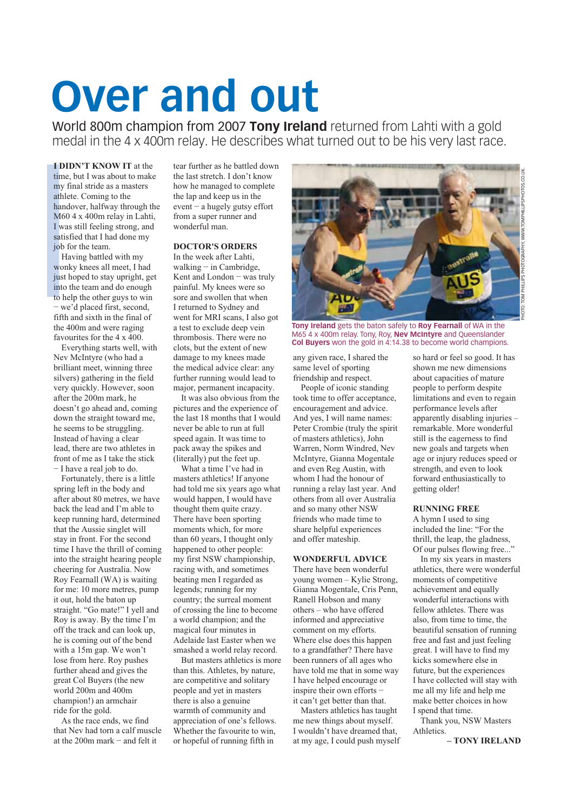## **Over and out**

World 800m champion from 2007 Tony Ireland returned from Lahti with a gold medal in the 4 x 400m relay. He describes what turned out to be his very last race.

**I DIDN'T KNOW IT at the** time, but I was about to make my final stride as a masters athlete. Coming to the handover, halfway through the M60 4 x 400m relay in Lahti, I was still feeling strong, and satisfied that I had done my job for the team.

Having battled with my wonky knees all meet, I had just hoped to stay upright, get into the team and do enough to help the other guys to win - we'd placed first, second, fifth and sixth in the final of the 400m and were raging favourites for the  $4 \times 400$ .

Everything starts well, with Nev McIntyre (who had a brilliant meet, winning three silvers) gathering in the field very quickly. However, soon after the 200m mark, he doesn't go ahead and, coming down the straight toward me, he seems to be struggling. Instead of having a clear lead, there are two athletes in front of me as I take the stick  $-I$  have a real job to do.

Fortunately, there is a little spring left in the body and after about 80 metres, we have back the lead and I'm able to keep running hard, determined that the Aussie singlet will stay in front. For the second time I have the thrill of coming into the straight hearing people cheering for Australia. Now Roy Fearnall (WA) is waiting for me: 10 more metres, pump it out, hold the baton up straight. "Go mate!" I yell and Rov is away. By the time I'm off the track and can look up. he is coming out of the bend with a 15m gap. We won't lose from here. Roy pushes further ahead and gives the great Col Buyers (the new world 200m and 400m champion!) an armchair ride for the gold.

As the race ends, we find that Nev had torn a calf muscle at the  $200m$  mark - and felt it

tear further as he battled down the last stretch. I don't know how he managed to complete the lap and keep us in the  $event - a$  hugely gutsy effort from a super runner and wonderful man.

#### **DOCTOR'S ORDERS**

In the week after Lahti, walking  $-$  in Cambridge, Kent and London - was truly painful. My knees were so sore and swollen that when I returned to Sydney and went for MRI scans. I also got a test to exclude deep vein thrombosis. There were no clots, but the extent of new damage to my knees made the medical advice clear: any further running would lead to major, permanent incapacity.

It was also obvious from the pictures and the experience of the last 18 months that I would never be able to run at full speed again. It was time to pack away the spikes and (literally) put the feet up.

What a time I've had in masters athletics! If anyone had told me six years ago what would happen, I would have thought them quite crazy. There have been sporting moments which, for more than 60 years, I thought only happened to other people: my first NSW championship, racing with, and sometimes beating men I regarded as legends: running for my country; the surreal moment of crossing the line to become a world champion: and the magical four minutes in Adelaide last Easter when we smashed a world relay record.

But masters athletics is more than this. Athletes, by nature, are competitive and solitary people and yet in masters there is also a genuine warmth of community and appreciation of one's fellows. Whether the favourite to win, or hopeful of running fifth in



Tony Ireland gets the baton safely to Roy Fearnall of WA in the M65 4 x 400m relay. Tony, Roy, Nev McIntyre and Queenslander Col Buyers won the gold in 4:14.38 to become world champions.

any given race. I shared the same level of sporting friendship and respect.

People of iconic standing took time to offer acceptance. encouragement and advice. And yes, I will name names: Peter Crombie (truly the spirit of masters athletics), John Warren, Norm Windred, Nev McIntyre, Gianna Mogentale and even Reg Austin, with whom I had the honour of running a relay last year. And others from all over Australia and so many other NSW friends who made time to share helpful experiences and offer mateship.

#### **WONDERFUL ADVICE**

There have been wonderful young women - Kylie Strong, Gianna Mogentale, Cris Penn. Ranell Hobson and many  $others - who have offered$ informed and appreciative comment on my efforts. Where else does this happen to a grandfather? There have been runners of all ages who have told me that in some way I have helped encourage or inspire their own efforts it can't get better than that.

Masters athletics has taught me new things about myself. I wouldn't have dreamed that, at my age, I could push myself so hard or feel so good. It has shown me new dimensions about capacities of mature people to perform despite limitations and even to regain performance levels after apparently disabling injuries remarkable. More wonderful still is the eagerness to find new goals and targets when age or injury reduces speed or strength, and even to look forward enthusiastically to getting older!

#### **RUNNING FREE**

A hymn I used to sing included the line: "For the thrill, the leap, the gladness,<br>Of our pulses flowing free..."

In my six years in masters athletics, there were wonderful moments of competitive achievement and equally wonderful interactions with fellow athletes There was also, from time to time, the beautiful sensation of running free and fast and just feeling great. I will have to find my kicks somewhere else in future, but the experiences I have collected will stay with me all my life and help me make better choices in how I spend that time.

Thank you, NSW Masters Athletics.

-TONY IRELAND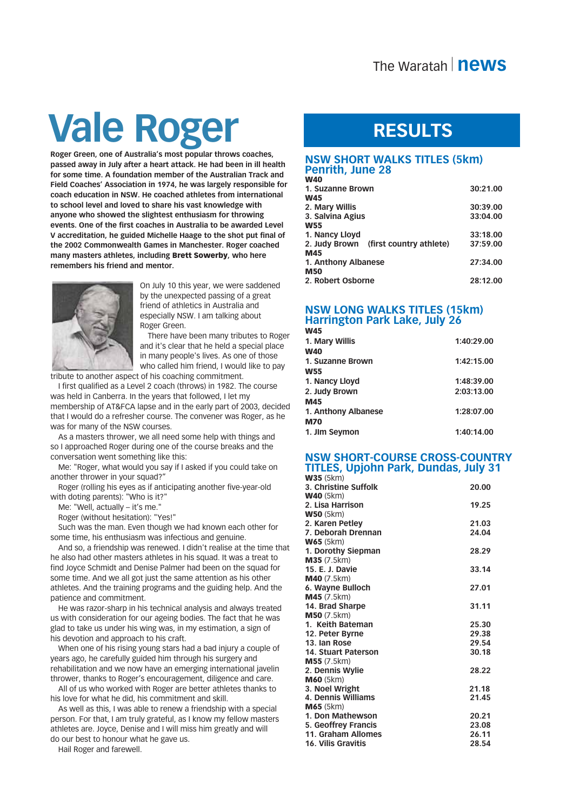## **Vale Roger**

Roger Green, one of Australia's most popular throws coaches. passed away in July after a heart attack. He had been in ill health for some time. A foundation member of the Australian Track and Field Coaches' Association in 1974, he was largely responsible for coach education in NSW. He coached athletes from international to school level and loved to share his vast knowledge with anyone who showed the slightest enthusiasm for throwing events. One of the first coaches in Australia to be awarded Level V accreditation, he guided Michelle Haage to the shot put final of the 2002 Commonwealth Games in Manchester. Roger coached many masters athletes, including Brett Sowerby, who here remembers his friend and mentor.



On July 10 this year, we were saddened by the unexpected passing of a great friend of athletics in Australia and especially NSW. I am talking about Roger Green.

There have been many tributes to Roger and it's clear that he held a special place in many people's lives. As one of those who called him friend. I would like to pay

tribute to another aspect of his coaching commitment.

I first qualified as a Level 2 coach (throws) in 1982. The course was held in Canberra. In the years that followed, I let my membership of AT&FCA lapse and in the early part of 2003, decided that I would do a refresher course. The convener was Roger, as he was for many of the NSW courses.

As a masters thrower, we all need some help with things and so I approached Roger during one of the course breaks and the conversation went something like this:

Me: "Roger, what would you say if I asked if you could take on another thrower in your squad?"

Roger (rolling his eyes as if anticipating another five-year-old with doting parents): "Who is it?"

Me: "Well, actually - it's me."

Roger (without hesitation): "Yes!"

Such was the man. Even though we had known each other for some time, his enthusiasm was infectious and genuine.

And so, a friendship was renewed. I didn't realise at the time that he also had other masters athletes in his squad. It was a treat to find Joyce Schmidt and Denise Palmer had been on the squad for some time. And we all got just the same attention as his other athletes. And the training programs and the guiding help. And the patience and commitment.

He was razor-sharp in his technical analysis and always treated us with consideration for our ageing bodies. The fact that he was glad to take us under his wing was, in my estimation, a sign of his devotion and approach to his craft.

When one of his rising young stars had a bad injury a couple of years ago, he carefully guided him through his surgery and rehabilitation and we now have an emerging international javelin thrower, thanks to Roger's encouragement, diligence and care.

All of us who worked with Roger are better athletes thanks to his love for what he did, his commitment and skill.

As well as this, I was able to renew a friendship with a special person. For that, I am truly grateful, as I know my fellow masters athletes are. Joyce, Denise and I will miss him greatly and will do our best to honour what he gave us.

Hail Roger and farewell.

## **RESULTS**

## **NSW SHORT WALKS TITLES (5km) Penrith, June 28**

| vv 40                                 |          |
|---------------------------------------|----------|
| <b>1. Suzanne Brown</b>               | 30:21.00 |
| W45                                   |          |
| 2. Mary Willis                        | 30:39.00 |
| 3. Salvina Agius                      | 33:04.00 |
| W55                                   |          |
| 1. Nancy Lloyd                        | 33:18.00 |
| 2. Judy Brown (first country athlete) | 37:59.00 |
| M45                                   |          |
| 1. Anthony Albanese                   | 27:34.00 |
| M50                                   |          |
| <b>2. Robert Osborne</b>              | 28:12.00 |
|                                       |          |

## **NSW LONG WALKS TITLES (15km) Harrington Park Lake, July 26**

| C4VV                |            |
|---------------------|------------|
| 1. Mary Willis      | 1:40:29.00 |
| <b>W40</b>          |            |
| 1. Suzanne Brown    | 1:42:15.00 |
| <b>W55</b>          |            |
| 1. Nancy Lloyd      | 1:48:39.00 |
| 2. Judy Brown       | 2:03:13.00 |
| M45                 |            |
| 1. Anthony Albanese | 1:28:07.00 |
| <b>M70</b>          |            |
| 1. Jim Seymon       | 1:40:14.00 |
|                     |            |

## **NSW SHORT-COURSE CROSS-COUNTRY TITLES, Upjohn Park, Dundas, July 31**

| <b>UVJJ</b> (JNIII)       |       |
|---------------------------|-------|
| 3. Christine Suffolk      | 20.00 |
| <b>W40 (5km)</b>          |       |
| 2. Lisa Harrison          | 19.25 |
| $W50$ (5km)               |       |
| 2. Karen Petley           | 21.03 |
| 7. Deborah Drennan        | 24.04 |
| <b>W65</b> (5km)          |       |
| 1. Dorothy Siepman        | 28.29 |
| <b>M35</b> (7.5km)        |       |
| 15. E. J. Davie           | 33.14 |
| $M40$ (7.5km)             |       |
| 6. Wayne Bulloch          | 27.01 |
| M45 (7.5km)               |       |
| 14. Brad Sharpe           | 31.11 |
| $M50$ (7.5km)             |       |
| 1. Keith Bateman          | 25.30 |
| 12. Peter Byrne           | 29.38 |
| 13. Ian Rose              | 29.54 |
| 14. Stuart Paterson       | 30.18 |
| $M55$ (7.5km)             |       |
| 2. Dennis Wylie           | 28.22 |
| <b>M60</b> (5km)          |       |
| 3. Noel Wright            | 21.18 |
| 4. Dennis Williams        | 21.45 |
| $M65$ (5km)               |       |
| 1. Don Mathewson          | 20.21 |
| 5. Geoffrey Francis       | 23.08 |
| 11. Graham Allomes        | 26.11 |
| <b>16. Vilis Gravitis</b> | 28.54 |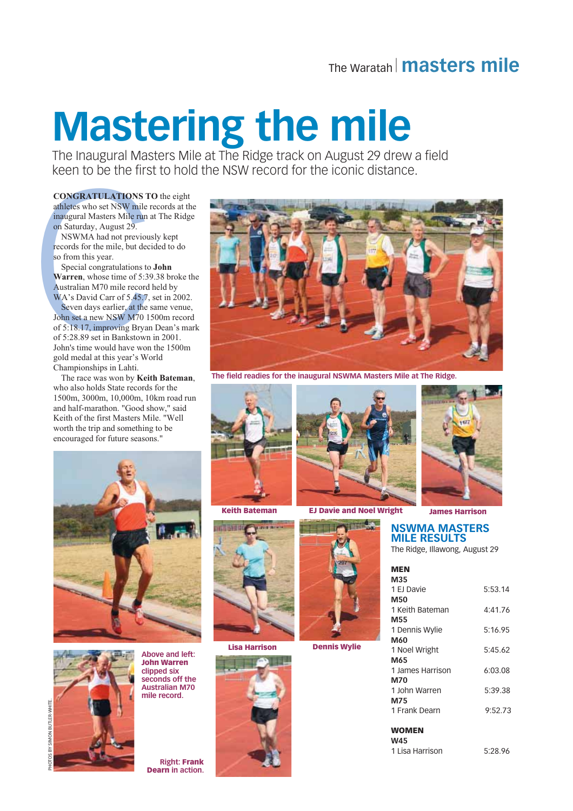## The Waratah | masters mile

## **Mastering the mile**

The Inaugural Masters Mile at The Ridge track on August 29 drew a field keen to be the first to hold the NSW record for the iconic distance.

**CONGRATULATIONS TO the eight** athletes who set NSW mile records at the inaugural Masters Mile run at The Ridge on Saturday, August 29.

NSWMA had not previously kept records for the mile, but decided to do so from this year.

Special congratulations to John Warren, whose time of 5:39.38 broke the Australian M70 mile record held by WA's David Carr of 5.45.7, set in 2002. Seven days earlier, at the same venue, John set a new NSW M70 1500m record of 5:18.17, improving Bryan Dean's mark of 5:28.89 set in Bankstown in 2001. John's time would have won the 1500m gold medal at this year's World Championships in Lahti.

The race was won by Keith Bateman, who also holds State records for the 1500m, 3000m, 10,000m, 10km road run and half-marathon. "Good show." said



The field readies for the inaugural NSWMA Masters Mile at The Ridge.



**Keith Bateman** 



**Lisa Harrison** 





**EJ Davie and Noel Wright** 



**Dennis Wylie** 



**James Harrison** 

### **NSWMA MASTERS MILE RESULTS**

The Ridge, Illawong, August 29

| <b>MEN</b>       |         |
|------------------|---------|
| M35              |         |
| 1 EJ Davie       | 5:53.14 |
| M50              |         |
| 1 Keith Bateman  | 4:41.76 |
| M55              |         |
| 1 Dennis Wylie   | 5:16.95 |
| M60              |         |
| 1 Noel Wright    | 5:45.62 |
| M65              |         |
| 1 James Harrison | 6:03.08 |
| <b>M70</b>       |         |
| 1 John Warren    | 5:39.38 |
| M75              |         |
| 1 Frank Dearn    | 9:52.73 |
|                  |         |
| WOMEN            |         |

 $W45$ 

1 Lisa Harrison 5:28.96

Keith of the first Masters Mile. "Well worth the trip and something to be encouraged for future seasons.'





**John Warren** clipped six seconds off the **Australian M70** mile record

**Above and left:** 

**Right: Frank Dearn** in action.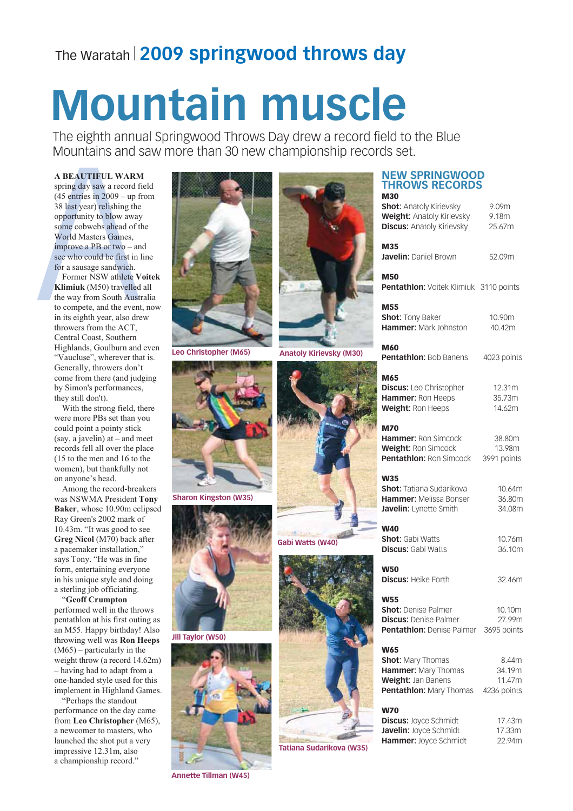## The Waratah | 2009 springwood throws day

# **Mountain muscle**

The eighth annual Springwood Throws Day drew a record field to the Blue Mountains and saw more than 30 new championship records set.

### **A BEAUTIFUL WARM**

spring day saw a record field  $(45$  entries in  $2009 -$ up from 38 last year) relishing the opportunity to blow away some cobwebs ahead of the World Masters Games, improve a PB or two  $-$  and see who could be first in line for a sausage sandwich.

Former NSW athlete Voitek Klimiuk (M50) travelled all the way from South Australia to compete, and the event, now in its eighth year, also drew throwers from the ACT. Central Coast, Southern Highlands, Goulburn and even "Vaucluse", wherever that is. Generally, throwers don't come from there (and judging by Simon's performances, they still don't).

With the strong field, there were more PBs set than you could point a pointy stick  $(say, a javelin)$  at – and meet records fell all over the place (15 to the men and 16 to the women), but thankfully not on anyone's head.

Among the record-breakers was NSWMA President Tony Baker, whose 10.90m eclipsed Ray Green's 2002 mark of 10.43m. "It was good to see Greg Nicol (M70) back after a pacemaker installation," says Tony. "He was in fine form, entertaining everyone in his unique style and doing a sterling job officiating.

"Geoff Crumpton performed well in the throws pentathlon at his first outing as an M55. Happy birthday! Also throwing well was **Ron Heeps**  $(M65)$  – particularly in the weight throw (a record 14.62m) - having had to adapt from a one-handed style used for this implement in Highland Games.

"Perhaps the standout performance on the day came from Leo Christopher (M65), a newcomer to masters, who launched the shot put a very impressive 12.31m, also a championship record."



**Leo Christopher (M65)** 



**Sharon Kingston (W35)** 



Jill Taylor (W50)



**Annette Tillman (W45)** 



#### **NEW SPRINGWOOD THROWS RECORDS M<sub>20</sub>**

|                                 | <b>Shot: Anatoly Kirievsky</b><br><b>Weight: Anatoly Kirievsky</b><br><b>Discus: Anatoly Kirievsky</b>         | 9.09m<br>9.18m<br>25.67m                 |
|---------------------------------|----------------------------------------------------------------------------------------------------------------|------------------------------------------|
|                                 | M35<br>Javelin: Daniel Brown                                                                                   | 52.09m                                   |
|                                 | <b>M50</b><br>Pentathlon: Voitek Klimiuk 3110 points                                                           |                                          |
|                                 | <b>M55</b><br>Shot: Tony Baker<br><b>Hammer:</b> Mark Johnston                                                 | 10.90m<br>40.42m                         |
| <b>Anatoly Kirievsky (M30)</b>  | <b>M60</b><br><b>Pentathion: Bob Banens</b>                                                                    | 4023 points                              |
|                                 | M65<br><b>Discus:</b> Leo Christopher<br>Hammer: Ron Heeps<br>Weight: Ron Heeps                                | 12.31m<br>35.73m<br>14.62m               |
|                                 | <b>M70</b><br><b>Hammer: Ron Simcock</b><br><b>Weight: Ron Simcock</b><br><b>Pentathion: Ron Simcock</b>       | 38.80m<br>13.98m<br>3991 points          |
|                                 | <b>W35</b><br><b>Shot:</b> Tatiana Sudarikova<br><b>Hammer:</b> Melissa Bonser<br>Javelin: Lynette Smith       | 10.64m<br>36.80m<br>34.08m               |
| Gabi Watts (W40)                | <b>W40</b><br><b>Shot:</b> Gabi Watts<br><b>Discus:</b> Gabi Watts                                             | 10.76m<br>36.10m                         |
|                                 | <b>W50</b><br><b>Discus: Heike Forth</b>                                                                       | 32.46m                                   |
|                                 | <b>W55</b><br>Shot: Denise Palmer<br><b>Discus: Denise Palmer</b><br>Pentathlon: Denise Palmer                 | 10.10m<br>27.99m<br>3695 points          |
|                                 | <b>W65</b><br><b>Shot: Mary Thomas</b><br>Hammer: Mary Thomas<br>Weight: Jan Banens<br>Pentathlon: Mary Thomas | 8.44m<br>34.19m<br>11.47m<br>4236 points |
| <b>Tatiana Sudarikova (W35)</b> | <b>W70</b><br><b>Discus: Joyce Schmidt</b><br>Javelin: Joyce Schmidt<br>Hammer: Joyce Schmidt                  | 17.43m<br>17.33m<br>22.94m               |
|                                 |                                                                                                                |                                          |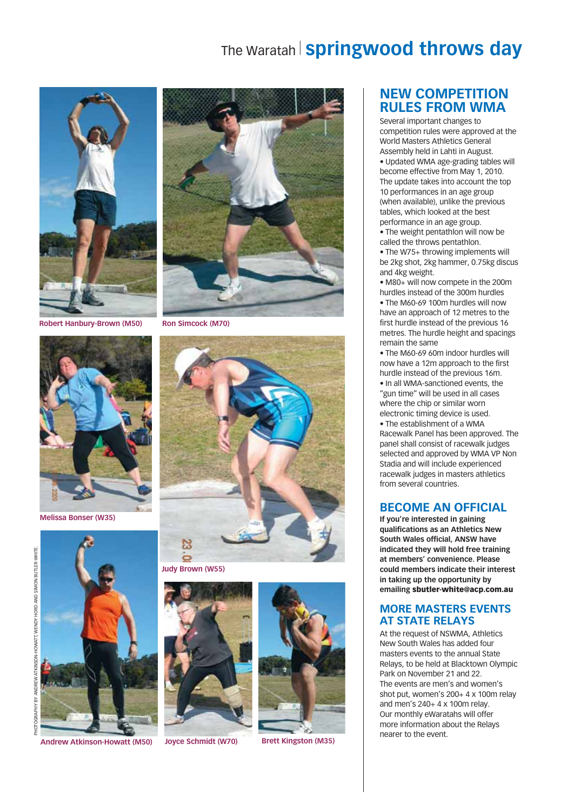## The Waratah Springwood throws day



**Robert Hanbury-Brown (M50)** 



**Melissa Bonser (W35)** 



**Andrew Atkinson-Howatt (M50)** 



**Ron Simcock (M70)** 



**Judy Brown (W55)** 



**Joyce Schmidt (W70)** 



**Brett Kingston (M35)** 

## **NEW COMPETITION RULES FROM WMA**

Several important changes to competition rules were approved at the World Masters Athletics General Assembly held in Lahti in August. . Updated WMA age-grading tables will become effective from May 1, 2010. The update takes into account the top 10 performances in an age group (when available), unlike the previous tables, which looked at the best performance in an age group. . The weight pentathlon will now be

called the throws pentathlon.

. The W75+ throwing implements will be 2kg shot. 2kg hammer. 0.75kg discus and 4kg weight.

• M80+ will now compete in the 200m hurdles instead of the 300m hurdles . The M60-69 100m hurdles will now have an approach of 12 metres to the first hurdle instead of the previous 16 metres. The hurdle height and spacings remain the same

. The M60-69 60m indoor hurdles will now have a 12m approach to the first hurdle instead of the previous 16m. . In all WMA-sanctioned events, the

"gun time" will be used in all cases where the chip or similar worn electronic timing device is used. • The establishment of a WMA

Racewalk Panel has been approved. The panel shall consist of racewalk judges selected and approved by WMA VP Non Stadia and will include experienced racewalk judges in masters athletics from several countries.

## **BECOME AN OFFICIAL**

If you're interested in gaining qualifications as an Athletics New South Wales official, ANSW have indicated they will hold free training at members' convenience. Please could members indicate their interest in taking up the opportunity by emailing sbutler-white@acp.com.au

## **MORE MASTERS EVENTS AT STATE RELAYS**

At the request of NSWMA, Athletics New South Wales has added four masters events to the annual State Relays, to be held at Blacktown Olympic Park on November 21 and 22. The events are men's and women's shot put, women's 200+4 x 100m relay and men's  $240+4 \times 100$ m relay. Our monthly eWaratahs will offer more information about the Relays nearer to the event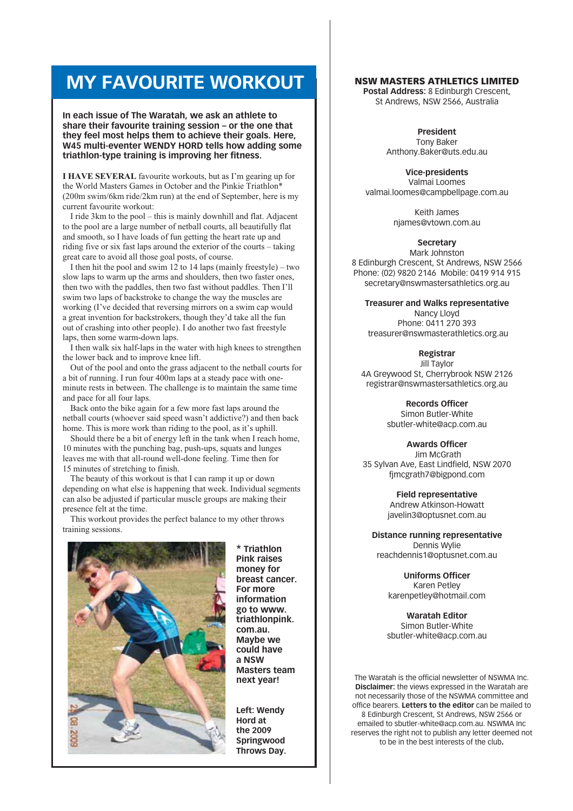## **MY FAVOURITE WORKOUT**

In each issue of The Waratah, we ask an athlete to share their favourite training session - or the one that they feel most helps them to achieve their goals. Here. W45 multi-eventer WENDY HORD tells how adding some triathlon-type training is improving her fitness.

**I HAVE SEVERAL** favourite workouts, but as I'm gearing up for the World Masters Games in October and the Pinkie Triathlon\* (200m swim/6km ride/2km run) at the end of September, here is my current favourite workout:

I ride 3km to the pool – this is mainly downhill and flat. Adjacent to the pool are a large number of netball courts, all beautifully flat and smooth, so I have loads of fun getting the heart rate up and riding five or six fast laps around the exterior of the courts – taking great care to avoid all those goal posts, of course.

I then hit the pool and swim 12 to 14 laps (mainly freestyle) – two slow laps to warm up the arms and shoulders, then two faster ones, then two with the paddles, then two fast without paddles. Then I'll swim two laps of backstroke to change the way the muscles are working (I've decided that reversing mirrors on a swim cap would a great invention for backstrokers, though they'd take all the fun out of crashing into other people). I do another two fast freestyle laps, then some warm-down laps.

I then walk six half-laps in the water with high knees to strengthen the lower back and to improve knee lift.

Out of the pool and onto the grass adiacent to the netball courts for a bit of running. I run four 400m laps at a steady pace with oneminute rests in between. The challenge is to maintain the same time and pace for all four laps.

Back onto the bike again for a few more fast laps around the netball courts (whoever said speed wasn't addictive?) and then back home. This is more work than riding to the pool, as it's uphill.

Should there be a bit of energy left in the tank when I reach home, 10 minutes with the punching bag, push-ups, squats and lunges leaves me with that all-round well-done feeling. Time then for 15 minutes of stretching to finish.

The beauty of this workout is that I can ramp it up or down depending on what else is happening that week. Individual segments can also be adjusted if particular muscle groups are making their presence felt at the time.

This workout provides the perfect balance to my other throws training sessions.



\* Triathlon **Pink raises** money for breast cancer. For more information go to www. triathlonpink. com.au. Maybe we could have a NSW **Masters team** next year!

Left: Wendy Hord at the 2009 Springwood Throws Day.

## **NSW MASTERS ATHLETICS LIMITED**

Postal Address: 8 Edinburgh Crescent. St Andrews, NSW 2566, Australia

> President Tony Baker Anthony.Baker@uts.edu.au

**Vice-presidents** Valmai Loomes valmai.loomes@campbellpage.com.au

> Keith James niames@vtown.com.au

> > Secretary

Mark Johnston 8 Edinburgh Crescent, St Andrews, NSW 2566 Phone: (02) 9820 2146 Mobile: 0419 914 915 secretary@nswmastersathletics.org.au

**Treasurer and Walks representative** 

Nancy Llovd Phone: 0411 270 393 treasurer@nswmasterathletics.org.au

Registrar

Jill Taylor 4A Greywood St, Cherrybrook NSW 2126 registrar@nswmastersathletics.org.au

> **Records Officer** Simon Butler-White sbutler-white@acp.com.au

> > **Awards Officer**

Jim McGrath 35 Sylvan Ave, East Lindfield, NSW 2070 fimcgrath7@bigpond.com

> **Field representative** Andrew Atkinson-Howatt iavelin3@optusnet.com.au

**Distance running representative** Dennis Wylie reachdennis1@optusnet.com.au

> **Uniforms Officer** Karen Petley karenpetlev@hotmail.com

**Waratah Editor** Simon Butler-White sbutler-white@acp.com.au

The Waratah is the official newsletter of NSWMA Inc. **Disclaimer:** the views expressed in the Waratah are not necessarily those of the NSWMA committee and office bearers. Letters to the editor can be mailed to 8 Edinburgh Crescent, St Andrews, NSW 2566 or emailed to sbutler-white@acp.com.au. NSWMA Inc reserves the right not to publish any letter deemed not to be in the best interests of the club.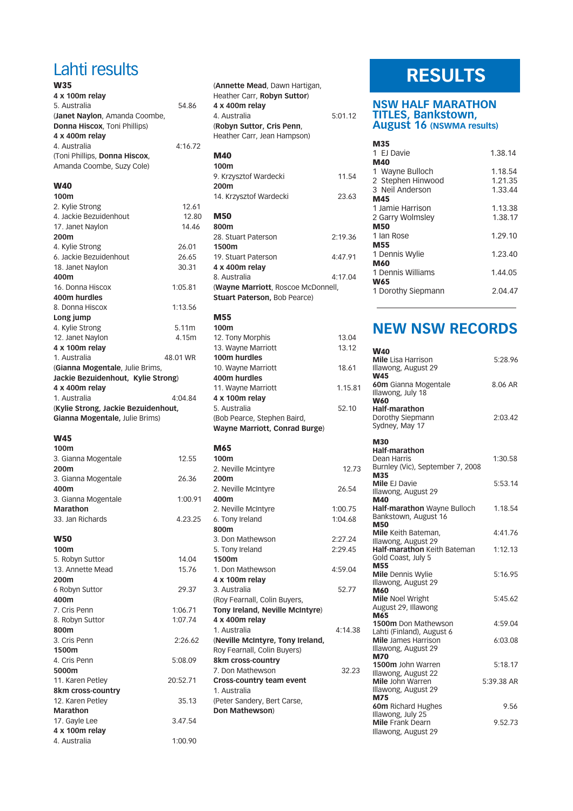## Lahti results  $\overline{\phantom{a}}$

| VV 33                               |          |
|-------------------------------------|----------|
| 4 x 100m relay                      |          |
| 5. Australia                        | 54.86    |
| (Janet Naylon, Amanda Coombe,       |          |
| Donna Hiscox, Toni Phillips)        |          |
| 4 x 400m relay                      |          |
| 4. Australia                        | 4:16.72  |
| (Toni Phillips, Donna Hiscox,       |          |
| Amanda Coombe, Suzy Cole)           |          |
| <b>W40</b>                          |          |
| 100m                                |          |
| 2. Kylie Strong                     | 12.61    |
| 4. Jackie Bezuidenhout              | 12.80    |
| 17. Janet Naylon                    | 14.46    |
| 200m                                |          |
| 4. Kylie Strong                     | 26.01    |
| 6. Jackie Bezuidenhout              | 26.65    |
| 18. Janet Naylon                    | 30.31    |
| 400m                                |          |
| 16. Donna Hiscox                    | 1:05.81  |
| 400m hurdles                        |          |
| 8. Donna Hiscox                     | 1:13.56  |
| Long jump                           |          |
| 4. Kylie Strong                     | 5.11m    |
| 12. Janet Naylon                    | 4.15m    |
| 4 x 100m relay                      |          |
| 1. Australia                        | 48.01 WR |
| (Gianna Mogentale, Julie Brims,     |          |
| Jackie Bezuidenhout, Kylie Strong)  |          |
| 4 x 400m relay                      |          |
| 1. Australia                        | 4:04.84  |
| (Kylie Strong, Jackie Bezuidenhout, |          |
| Gianna Mogentale, Julie Brims)      |          |
|                                     |          |

### **W45**

| W50                 |         |
|---------------------|---------|
| 33. Jan Richards    | 4.23.25 |
| Marathon            |         |
| 3. Gianna Mogentale | 1:00.91 |
| 400m                |         |
| 3. Gianna Mogentale | 26.36   |
| 200m                |         |
| 3. Gianna Mogentale | 12.55   |
| 100m                |         |

100m 5. Robyn Suttor 14.04 13. Annette Mead  $200m$ 6 Robvn Suttor 400m 1:06.71 7. Cris Penn 8. Robyn Suttor 1:07.74 800m 3. Cris Penn 2:26.62 1500m 4. Cris Penn 5:08.09 5000m 20:52.71 11. Karen Petley 8km cross-country 12. Karen Petley **Marathon** 3.47.54 17. Gayle Lee  $4 \times 100$ m relay 4. Australia 1:00.90

| (Annette Mead, Dawn Hartigan,<br>Heather Carr, Robyn Suttor)<br>4 x 400m relay<br>4. Australia<br>(Robyn Suttor, Cris Penn,<br>Heather Carr, Jean Hampson) | 5:01.12 |
|------------------------------------------------------------------------------------------------------------------------------------------------------------|---------|
| <b>M40</b>                                                                                                                                                 |         |
| 100m                                                                                                                                                       |         |
| 9. Krzysztof Wardecki                                                                                                                                      | 11.54   |
| 200m                                                                                                                                                       |         |
| 14. Krzysztof Wardecki                                                                                                                                     | 23.63   |
| <b>M50</b><br>800m<br>28. Stuart Paterson                                                                                                                  | 2:19.36 |
| 1500m                                                                                                                                                      |         |
| 19. Stuart Paterson                                                                                                                                        | 4.47.91 |
| 4 x 400m relay                                                                                                                                             |         |
| 8. Australia                                                                                                                                               | 4:17.04 |
| (Wayne Marriott, Roscoe McDonnell,<br><b>Stuart Paterson, Bob Pearce)</b>                                                                                  |         |
| <b>M55</b><br>100m                                                                                                                                         |         |

| 100m                          |         |
|-------------------------------|---------|
| 12. Tony Morphis              | 13.04   |
| 13. Wayne Marriott            | 13.12   |
| 100m hurdles                  |         |
| 10. Wayne Marriott            | 18.61   |
| 400m hurdles                  |         |
| 11. Wayne Marriott            | 1.15.81 |
| 4 x 100m relay                |         |
| 5. Australia                  | 52.10   |
| (Bob Pearce, Stephen Baird,   |         |
| Wayne Marriott, Conrad Burge) |         |
|                               |         |

## **M65**

15.76

29.37

35.13

| 100m                             |         |
|----------------------------------|---------|
| 2. Neville Mcintyre              | 12.73   |
| 200m                             |         |
| 2. Neville McIntyre              | 26.54   |
| 400m                             |         |
| 2. Neville McIntyre              | 1:00.75 |
| 6. Tony Ireland                  | 1:04.68 |
| 800m                             |         |
| 3. Don Mathewson                 | 2:27.24 |
| 5. Tony Ireland                  | 2:29.45 |
| 1500m                            |         |
| 1. Don Mathewson                 | 4:59.04 |
| 4 x 100m relav                   |         |
| 3. Australia                     | 52.77   |
| (Roy Fearnall, Colin Buyers,     |         |
| Tony Ireland, Neville McIntyre)  |         |
| 4 x 400m relav                   |         |
| 1. Australia                     | 4:14.38 |
| (Neville McIntyre, Tony Ireland, |         |
| Roy Fearnall, Colin Buyers)      |         |
| 8km cross-country                |         |
| 7. Don Mathewson                 | 32.23   |
| <b>Cross-country team event</b>  |         |
| 1. Australia                     |         |
| (Peter Sandery, Bert Carse,      |         |
| Don Mathewson)                   |         |
|                                  |         |
|                                  |         |

## **RESULTS**

## **NSW HALF MARATHON** TITLES, Bankstown,<br>August 16 (NSWMA results)

| M35                |         |
|--------------------|---------|
| 1 EJ Davie         | 1.38.14 |
| M40                |         |
| 1 Wayne Bulloch    | 1.18.54 |
| 2 Stephen Hinwood  | 1.21.35 |
| 3 Neil Anderson    | 1.33.44 |
| M45                |         |
| 1 Jamie Harrison   | 1.13.38 |
| 2 Garry Wolmsley   | 1.38.17 |
| <b>M50</b>         |         |
| 1 Ian Rose         | 1.29.10 |
| M55                |         |
| 1 Dennis Wylie     | 1.23.40 |
| <b>M60</b>         |         |
| 1 Dennis Williams  | 1.44.05 |
| <b>W65</b>         |         |
| 1 Dorothy Siepmann | 2.04.47 |

## **NEW NSW RECORDS**

| <b>W40</b>                                      |            |
|-------------------------------------------------|------------|
| <b>Mile</b> Lisa Harrison                       | 5:28.96    |
| Illawong, August 29                             |            |
| <b>W45</b>                                      |            |
| 60m Gianna Mogentale                            | 8.06 AR    |
| Illawong, July 18                               |            |
| <b>W60</b>                                      |            |
| <b>Half-marathon</b>                            |            |
| Dorothy Siepmann                                | 2:03.42    |
| Sydney, May 17                                  |            |
| <b>M30</b>                                      |            |
| <b>Half-marathon</b>                            |            |
| Dean Harris                                     | 1:30.58    |
| Burnley (Vic), September 7, 2008                |            |
| M35                                             |            |
| Mile EJ Davie                                   | 5:53.14    |
| Illawong, August 29                             |            |
| M40                                             |            |
| Half-marathon Wayne Bulloch                     | 1.18.54    |
| Bankstown, August 16                            |            |
| <b>M50</b>                                      |            |
| Mile Keith Bateman.                             | 4:41.76    |
| Illawong, August 29                             |            |
| <b>Half-marathon Keith Bateman</b>              | 1:12.13    |
| Gold Coast, July 5                              |            |
| M55                                             | 5:16.95    |
| <b>Mile Dennis Wylie</b><br>Illawong, August 29 |            |
| <b>M60</b>                                      |            |
| <b>Mile Noel Wright</b>                         | 5:45.62    |
| August 29, Illawong                             |            |
| M65                                             |            |
| 1500m Don Mathewson                             | 4:59.04    |
| Lahti (Finland), August 6                       |            |
| <b>Mile</b> James Harrison                      | 6:03.08    |
| Illawong, August 29                             |            |
| <b>M70</b>                                      |            |
| 1500m John Warren                               | 5:18.17    |
| Illawong, August 22                             |            |
| Mile John Warren                                | 5:39.38 AR |
| Illawong, August 29                             |            |
| <b>M75</b><br>60m Richard Hughes                | 9.56       |
| Illawong, July 25                               |            |
| Mile Frank Dearn                                | 9.52.73    |
| Illawong, August 29                             |            |
|                                                 |            |